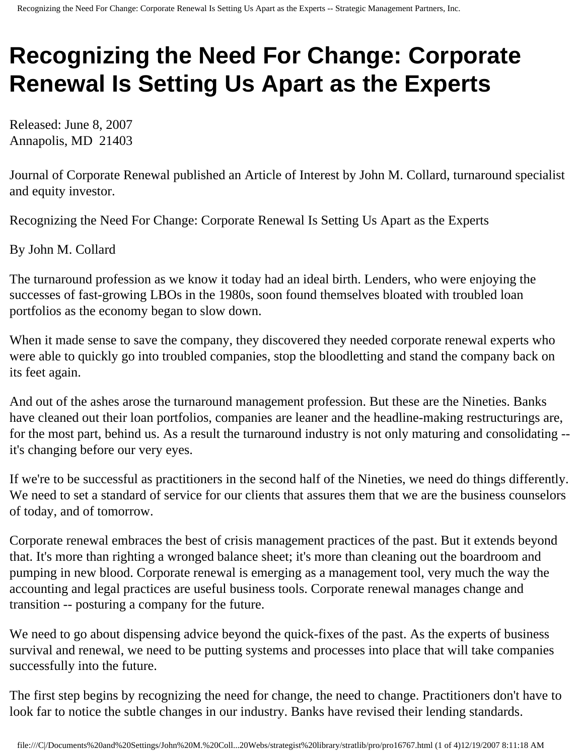## **Recognizing the Need For Change: Corporate Renewal Is Setting Us Apart as the Experts**

Released: June 8, 2007 Annapolis, MD 21403

Journal of Corporate Renewal published an Article of Interest by John M. Collard, turnaround specialist and equity investor.

Recognizing the Need For Change: Corporate Renewal Is Setting Us Apart as the Experts

By John M. Collard

The turnaround profession as we know it today had an ideal birth. Lenders, who were enjoying the successes of fast-growing LBOs in the 1980s, soon found themselves bloated with troubled loan portfolios as the economy began to slow down.

When it made sense to save the company, they discovered they needed corporate renewal experts who were able to quickly go into troubled companies, stop the bloodletting and stand the company back on its feet again.

And out of the ashes arose the turnaround management profession. But these are the Nineties. Banks have cleaned out their loan portfolios, companies are leaner and the headline-making restructurings are, for the most part, behind us. As a result the turnaround industry is not only maturing and consolidating - it's changing before our very eyes.

If we're to be successful as practitioners in the second half of the Nineties, we need do things differently. We need to set a standard of service for our clients that assures them that we are the business counselors of today, and of tomorrow.

Corporate renewal embraces the best of crisis management practices of the past. But it extends beyond that. It's more than righting a wronged balance sheet; it's more than cleaning out the boardroom and pumping in new blood. Corporate renewal is emerging as a management tool, very much the way the accounting and legal practices are useful business tools. Corporate renewal manages change and transition -- posturing a company for the future.

We need to go about dispensing advice beyond the quick-fixes of the past. As the experts of business survival and renewal, we need to be putting systems and processes into place that will take companies successfully into the future.

The first step begins by recognizing the need for change, the need to change. Practitioners don't have to look far to notice the subtle changes in our industry. Banks have revised their lending standards.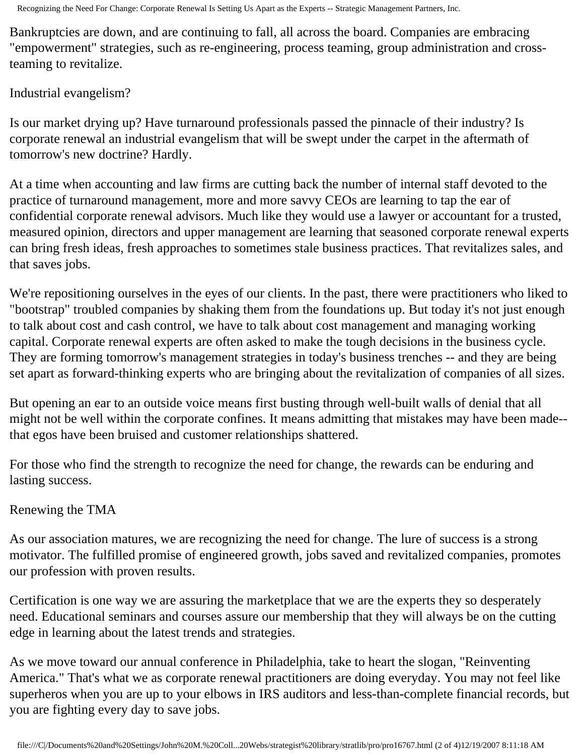Recognizing the Need For Change: Corporate Renewal Is Setting Us Apart as the Experts -- Strategic Management Partners, Inc.

Bankruptcies are down, and are continuing to fall, all across the board. Companies are embracing "empowerment" strategies, such as re-engineering, process teaming, group administration and crossteaming to revitalize.

Industrial evangelism?

Is our market drying up? Have turnaround professionals passed the pinnacle of their industry? Is corporate renewal an industrial evangelism that will be swept under the carpet in the aftermath of tomorrow's new doctrine? Hardly.

At a time when accounting and law firms are cutting back the number of internal staff devoted to the practice of turnaround management, more and more savvy CEOs are learning to tap the ear of confidential corporate renewal advisors. Much like they would use a lawyer or accountant for a trusted, measured opinion, directors and upper management are learning that seasoned corporate renewal experts can bring fresh ideas, fresh approaches to sometimes stale business practices. That revitalizes sales, and that saves jobs.

We're repositioning ourselves in the eyes of our clients. In the past, there were practitioners who liked to "bootstrap" troubled companies by shaking them from the foundations up. But today it's not just enough to talk about cost and cash control, we have to talk about cost management and managing working capital. Corporate renewal experts are often asked to make the tough decisions in the business cycle. They are forming tomorrow's management strategies in today's business trenches -- and they are being set apart as forward-thinking experts who are bringing about the revitalization of companies of all sizes.

But opening an ear to an outside voice means first busting through well-built walls of denial that all might not be well within the corporate confines. It means admitting that mistakes may have been made- that egos have been bruised and customer relationships shattered.

For those who find the strength to recognize the need for change, the rewards can be enduring and lasting success.

## Renewing the TMA

As our association matures, we are recognizing the need for change. The lure of success is a strong motivator. The fulfilled promise of engineered growth, jobs saved and revitalized companies, promotes our profession with proven results.

Certification is one way we are assuring the marketplace that we are the experts they so desperately need. Educational seminars and courses assure our membership that they will always be on the cutting edge in learning about the latest trends and strategies.

As we move toward our annual conference in Philadelphia, take to heart the slogan, "Reinventing America." That's what we as corporate renewal practitioners are doing everyday. You may not feel like superheros when you are up to your elbows in IRS auditors and less-than-complete financial records, but you are fighting every day to save jobs.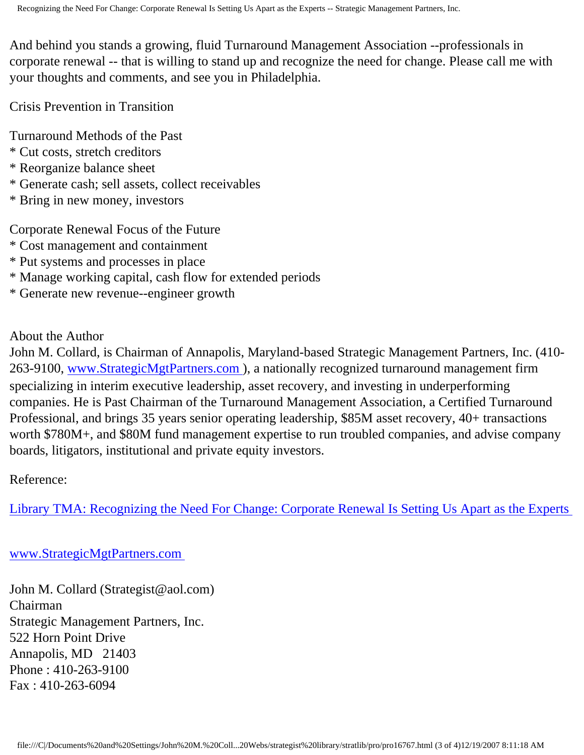And behind you stands a growing, fluid Turnaround Management Association --professionals in corporate renewal -- that is willing to stand up and recognize the need for change. Please call me with your thoughts and comments, and see you in Philadelphia.

Crisis Prevention in Transition

Turnaround Methods of the Past

- \* Cut costs, stretch creditors
- \* Reorganize balance sheet
- \* Generate cash; sell assets, collect receivables
- \* Bring in new money, investors

Corporate Renewal Focus of the Future

- \* Cost management and containment
- \* Put systems and processes in place
- \* Manage working capital, cash flow for extended periods
- \* Generate new revenue--engineer growth

About the Author

John M. Collard, is Chairman of Annapolis, Maryland-based Strategic Management Partners, Inc. (410 263-9100, [www.StrategicMgtPartners.com](http://www.strategicmgtpartners.com/)), a nationally recognized turnaround management firm specializing in interim executive leadership, asset recovery, and investing in underperforming companies. He is Past Chairman of the Turnaround Management Association, a Certified Turnaround Professional, and brings 35 years senior operating leadership, \$85M asset recovery, 40+ transactions worth \$780M+, and \$80M fund management expertise to run troubled companies, and advise company boards, litigators, institutional and private equity investors.

Reference:

[Library TMA: Recognizing the Need For Change: Corporate Renewal Is Setting Us Apart as the Experts](http://www.turnaround.org/news/letter.asp?objectID=2897) 

[www.StrategicMgtPartners.com](http://www.strategicmgtpartners.com/)

John M. Collard (Strategist@aol.com) Chairman Strategic Management Partners, Inc. 522 Horn Point Drive Annapolis, MD 21403 Phone : 410-263-9100 Fax : 410-263-6094